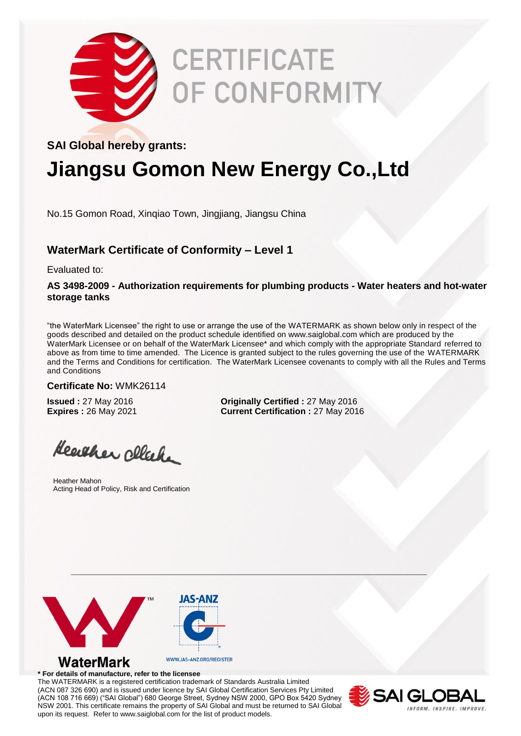

# **CERTIFICATE OF CONFORMITY**

# **SAI Global hereby grants:**

# **Jiangsu Gomon New Energy Co.,Ltd**

No.15 Gomon Road, Xinqiao Town, Jingjiang, Jiangsu China

## **WaterMark Certificate of Conformity – Level 1**

Evaluated to:

### **AS 3498-2009 - Authorization requirements for plumbing products - Water heaters and hot-water storage tanks**

"the WaterMark Licensee" the right to use or arrange the use of the WATERMARK as shown below only in respect of the goods described and detailed on the product schedule identified on www.saiglobal.com which are produced by the WaterMark Licensee or on behalf of the WaterMark Licensee\* and which comply with the appropriate Standard referred to above as from time to time amended. The Licence is granted subject to the rules governing the use of the WATERMARK and the Terms and Conditions for certification. The WaterMark Licensee covenants to comply with all the Rules and Terms and Conditions

#### **Certificate No:** WMK26114

**Issued :** 27 May 2016 **Originally Certified :** 27 May 2016 **Expires :** 26 May 2021 **Current Certification :** 27 May 2016

Heather cleak

Heather Mahon Acting Head of Policy, Risk and Certification



#### **\* For details of manufacture, refer to the licensee**

The WATERMARK is a registered certification trademark of Standards Australia Limited (ACN 087 326 690) and is issued under licence by SAI Global Certification Services Pty Limited (ACN 108 716 669) ("SAI Global") 680 George Street, Sydney NSW 2000, GPO Box 5420 Sydney NSW 2001. This certificate remains the property of SAI Global and must be returned to SAI Global upon its request. Refer to www.saiglobal.com for the list of product models.

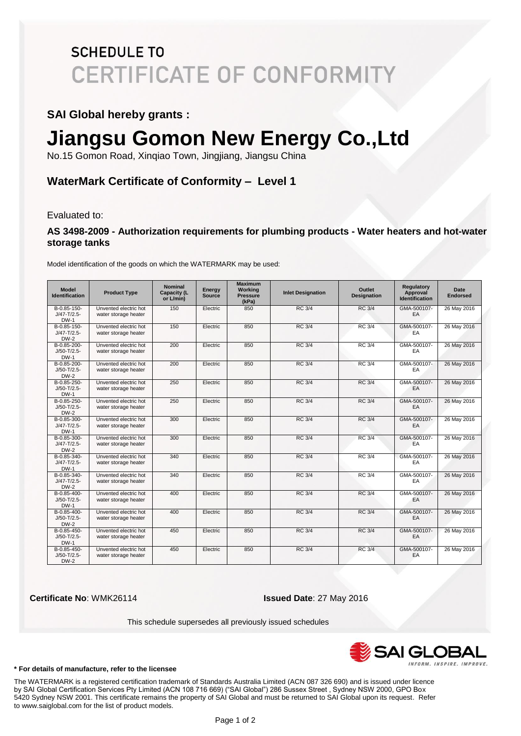# **SCHEDULE TO CERTIFICATE OF CONFORMITY**

### **SAI Global hereby grants :**

# **Jiangsu Gomon New Energy Co.,Ltd**

No.15 Gomon Road, Xinqiao Town, Jingjiang, Jiangsu China

## **WaterMark Certificate of Conformity – Level 1**

Evaluated to:

### **AS 3498-2009 - Authorization requirements for plumbing products - Water heaters and hot-water storage tanks**

| <b>Model</b><br><b>Identification</b>          | <b>Product Type</b>                           | <b>Nominal</b><br><b>Capacity (L</b><br>or L/min) | Energy<br><b>Source</b> | <b>Maximum</b><br>Working<br><b>Pressure</b><br>(kPa) | <b>Inlet Designation</b> | Outlet<br><b>Designation</b> | Regulatory<br>Approval<br><b>Identification</b> | Date<br><b>Endorsed</b> |
|------------------------------------------------|-----------------------------------------------|---------------------------------------------------|-------------------------|-------------------------------------------------------|--------------------------|------------------------------|-------------------------------------------------|-------------------------|
| B-0.85-150-<br>$J/47 - T/2.5 -$<br>$DW-1$      | Unvented electric hot<br>water storage heater | 150                                               | Electric                | 850                                                   | <b>RC 3/4</b>            | <b>RC 3/4</b>                | GMA-500107-<br>EA                               | 26 May 2016             |
| B-0.85-150-<br>$J/47 - T/2.5 -$<br><b>DW-2</b> | Unvented electric hot<br>water storage heater | 150                                               | Electric                | 850                                                   | <b>RC 3/4</b>            | <b>RC 3/4</b>                | GMA-500107-<br>EA                               | 26 May 2016             |
| B-0.85-200-<br>$J/50 - T/2.5 -$<br>$DW-1$      | Unvented electric hot<br>water storage heater | 200                                               | Electric                | 850                                                   | <b>RC 3/4</b>            | <b>RC 3/4</b>                | GMA-500107-<br>EA                               | 26 May 2016             |
| B-0.85-200-<br>$J/50 - T/2.5 -$<br><b>DW-2</b> | Unvented electric hot<br>water storage heater | 200                                               | Electric                | 850                                                   | <b>RC 3/4</b>            | <b>RC 3/4</b>                | GMA-500107-<br>EA                               | 26 May 2016             |
| B-0.85-250-<br>$J/50 - T/2.5 -$<br>$DW-1$      | Unvented electric hot<br>water storage heater | 250                                               | Electric                | 850                                                   | <b>RC 3/4</b>            | <b>RC 3/4</b>                | GMA-500107-<br>EA                               | 26 May 2016             |
| B-0.85-250-<br>$J/50 - T/2.5 -$<br>$DW-2$      | Unvented electric hot<br>water storage heater | 250                                               | Electric                | 850                                                   | <b>RC 3/4</b>            | <b>RC 3/4</b>                | GMA-500107-<br>EA                               | 26 May 2016             |
| B-0.85-300-<br>$J/47 - T/2.5 -$<br>$DW-1$      | Unvented electric hot<br>water storage heater | 300                                               | Electric                | 850                                                   | <b>RC 3/4</b>            | <b>RC 3/4</b>                | GMA-500107-<br>EA                               | 26 May 2016             |
| B-0.85-300-<br>$J/47 - T/2.5 -$<br>$DW-2$      | Unvented electric hot<br>water storage heater | 300                                               | Electric                | 850                                                   | <b>RC 3/4</b>            | RC 3/4                       | GMA-500107-<br>EA                               | 26 May 2016             |
| B-0.85-340-<br>$J/47 - T/2.5 -$<br>$DW-1$      | Unvented electric hot<br>water storage heater | 340                                               | Electric                | 850                                                   | <b>RC 3/4</b>            | <b>RC 3/4</b>                | GMA-500107-<br>EA                               | 26 May 2016             |
| B-0.85-340-<br>$J/47 - T/2.5 -$<br>$DW-2$      | Unvented electric hot<br>water storage heater | 340                                               | Electric                | 850                                                   | <b>RC 3/4</b>            | <b>RC 3/4</b>                | GMA-500107-<br>EA                               | 26 May 2016             |
| B-0.85-400-<br>$J/50 - T/2.5 -$<br><b>DW-1</b> | Unvented electric hot<br>water storage heater | 400                                               | Electric                | 850                                                   | <b>RC 3/4</b>            | <b>RC 3/4</b>                | GMA-500107-<br>EA                               | 26 May 2016             |
| B-0.85-400-<br>$J/50 - T/2.5 -$<br>$DW-2$      | Unvented electric hot<br>water storage heater | 400                                               | Electric                | 850                                                   | <b>RC 3/4</b>            | <b>RC 3/4</b>                | GMA-500107-<br>EA                               | 26 May 2016             |
| B-0.85-450-<br>$J/50 - T/2.5 -$<br><b>DW-1</b> | Unvented electric hot<br>water storage heater | 450                                               | Electric                | 850                                                   | <b>RC 3/4</b>            | <b>RC 3/4</b>                | GMA-500107-<br>EA                               | 26 May 2016             |
| B-0.85-450-<br>$J/50 - T/2.5 -$<br>$DW-2$      | Unvented electric hot<br>water storage heater | 450                                               | Electric                | 850                                                   | <b>RC 3/4</b>            | <b>RC 3/4</b>                | GMA-500107-<br>EA                               | 26 May 2016             |

Model identification of the goods on which the WATERMARK may be used:

**Certificate No**: WMK26114 **Issued Date**: 27 May 2016

This schedule supersedes all previously issued schedules



#### **\* For details of manufacture, refer to the licensee**

The WATERMARK is a registered certification trademark of Standards Australia Limited (ACN 087 326 690) and is issued under licence by SAI Global Certification Services Pty Limited (ACN 108 716 669) ("SAI Global") 286 Sussex Street , Sydney NSW 2000, GPO Box 5420 Sydney NSW 2001. This certificate remains the property of SAI Global and must be returned to SAI Global upon its request. Refer to www.saiglobal.com for the list of product models.